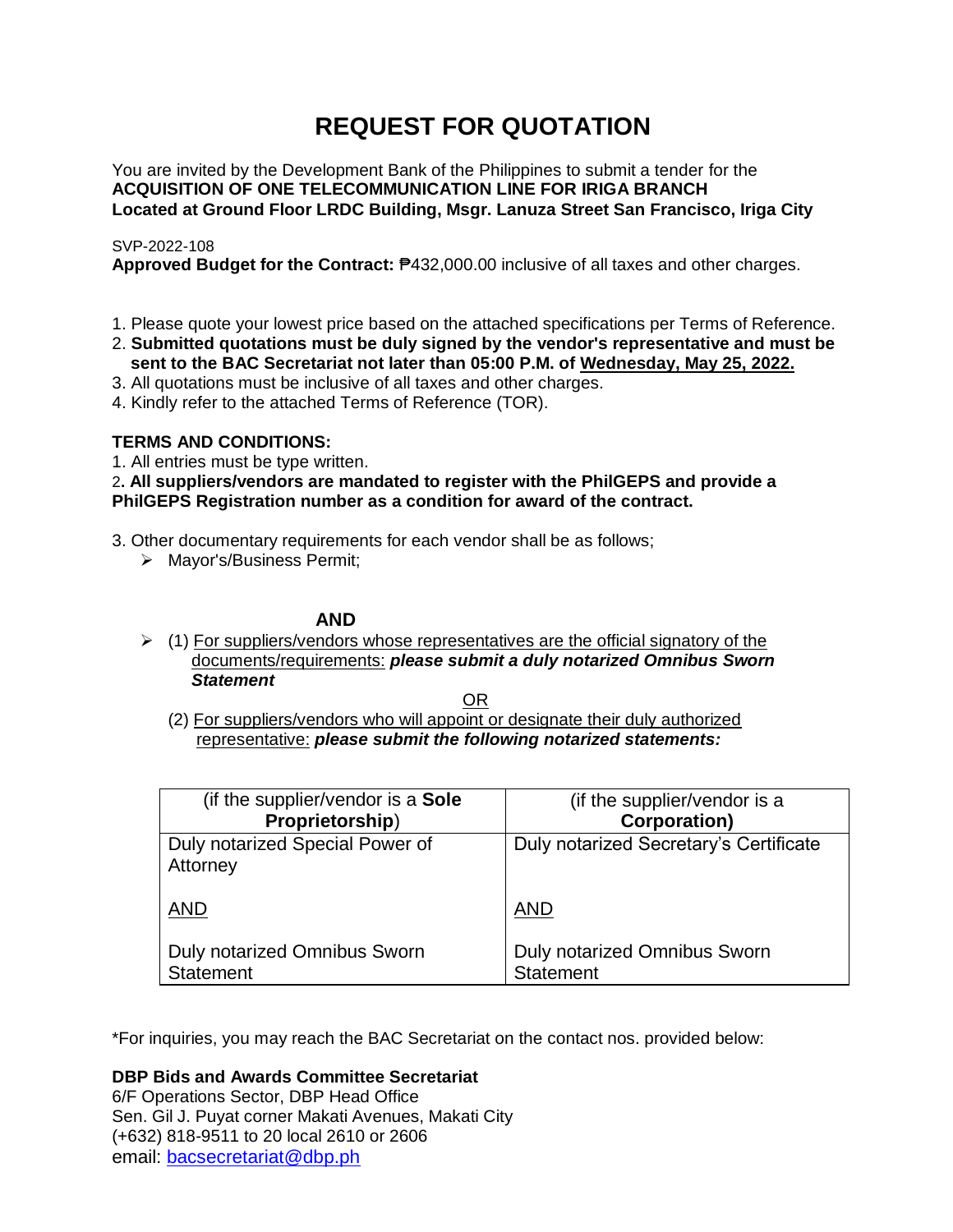# **REQUEST FOR QUOTATION**

You are invited by the Development Bank of the Philippines to submit a tender for the **ACQUISITION OF ONE TELECOMMUNICATION LINE FOR IRIGA BRANCH Located at Ground Floor LRDC Building, Msgr. Lanuza Street San Francisco, Iriga City**

# SVP-2022-108

**Approved Budget for the Contract:** ₱432,000.00 inclusive of all taxes and other charges.

- 1. Please quote your lowest price based on the attached specifications per Terms of Reference.
- 2. **Submitted quotations must be duly signed by the vendor's representative and must be sent to the BAC Secretariat not later than 05:00 P.M. of Wednesday, May 25, 2022.**
- 3. All quotations must be inclusive of all taxes and other charges.
- 4. Kindly refer to the attached Terms of Reference (TOR).

# **TERMS AND CONDITIONS:**

1. All entries must be type written.

2**. All suppliers/vendors are mandated to register with the PhilGEPS and provide a PhilGEPS Registration number as a condition for award of the contract.**

- 3. Other documentary requirements for each vendor shall be as follows;
	- > Mayor's/Business Permit;

# **AND**

 $\geq$  (1) For suppliers/vendors whose representatives are the official signatory of the documents/requirements: *please submit a duly notarized Omnibus Sworn Statement*

<u>OR Starting and the Starting OR Starting</u>

(2) For suppliers/vendors who will appoint or designate their duly authorized representative: *please submit the following notarized statements:*

| (if the supplier/vendor is a Sole                | (if the supplier/vendor is a                     |
|--------------------------------------------------|--------------------------------------------------|
| Proprietorship)                                  | <b>Corporation)</b>                              |
| Duly notarized Special Power of<br>Attorney      | Duly notarized Secretary's Certificate           |
| <b>AND</b>                                       | <b>AND</b>                                       |
| Duly notarized Omnibus Sworn<br><b>Statement</b> | Duly notarized Omnibus Sworn<br><b>Statement</b> |

\*For inquiries, you may reach the BAC Secretariat on the contact nos. provided below:

**DBP Bids and Awards Committee Secretariat** 

6/F Operations Sector, DBP Head Office Sen. Gil J. Puyat corner Makati Avenues, Makati City (+632) 818-9511 to 20 local 2610 or 2606 email: [bacsecretariat@dbp.ph](mailto:bacsecretariat@dbp.ph)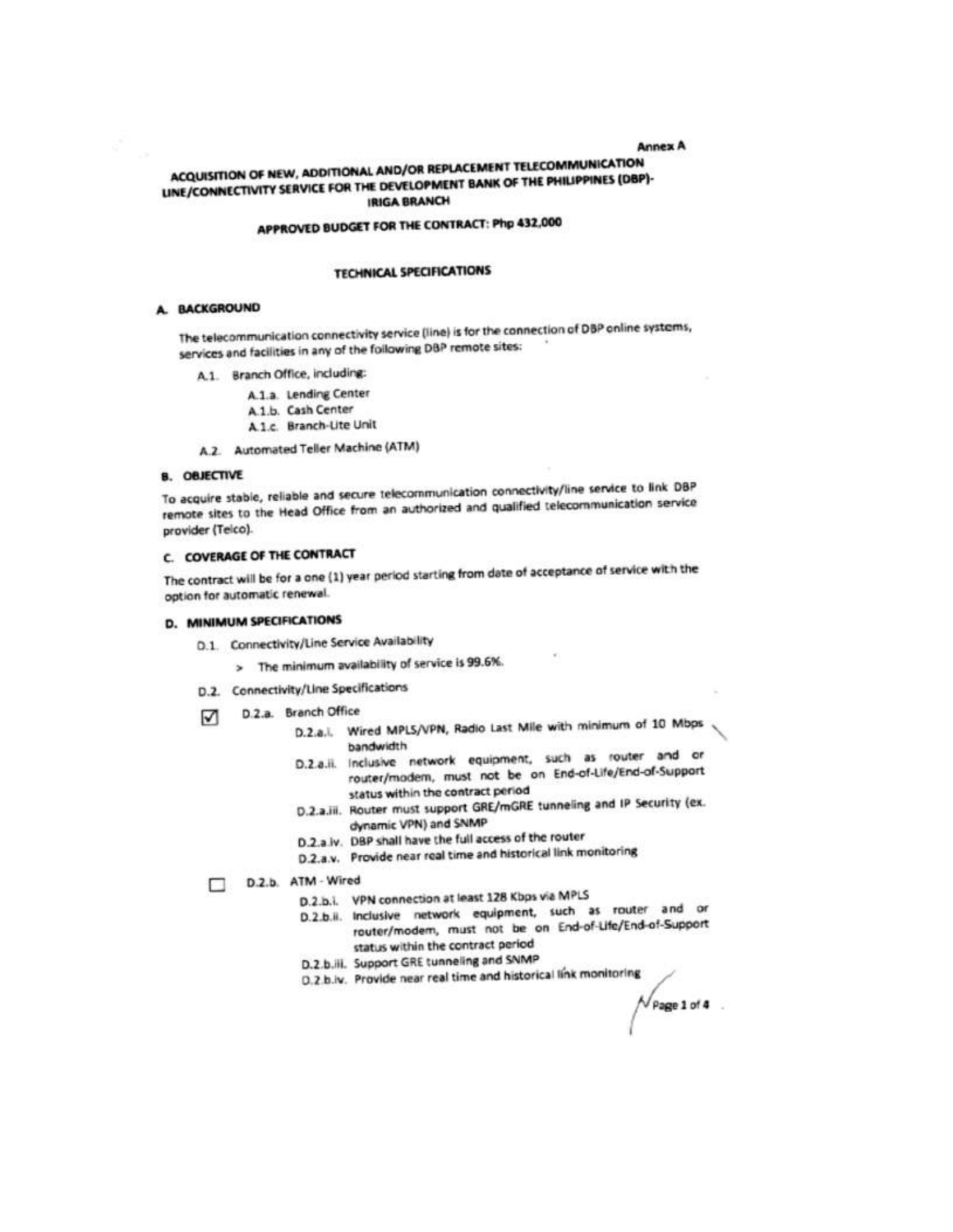**Annex A** 

# ACQUISITION OF NEW, ADDITIONAL AND/OR REPLACEMENT TELECOMMUNICATION LINE/CONNECTIVITY SERVICE FOR THE DEVELOPMENT BANK OF THE PHILIPPINES (DBP)-**IRIGA BRANCH**

# APPROVED BUDGET FOR THE CONTRACT: Php 432,000

#### **TECHNICAL SPECIFICATIONS**

#### A. BACKGROUND

The telecommunication connectivity service (line) is for the connection of DBP online systems, services and facilities in any of the following DBP remote sites:

- A.1. Branch Office, including:
	- A.1.a. Lending Center
	- A.1.b. Cash Center
	- A.1.c. Branch-Lite Unit
- A.2. Automated Teller Machine (ATM)

## **B. OBJECTIVE**

To acquire stable, reliable and secure telecommunication connectivity/line service to link DBP remote sites to the Head Office from an authorized and qualified telecommunication service provider (Telco).

#### C. COVERAGE OF THE CONTRACT

The contract will be for a one (1) year period starting from date of acceptance of service with the option for automatic renewal.

## **D. MINIMUM SPECIFICATIONS**

- D.1. Connectivity/Line Service Availability
	- > The minimum availability of service is 99.6%.
- D.2. Connectivity/Line Specifications
- D.2.a. Branch Office ☑
	- D.2.a.l. Wired MPLS/VPN, Radio Last Mile with minimum of 10 Mbps bandwidth
	- D.2.a.ii. Inclusive network equipment, such as router and or router/modem, must not be on End-of-Life/End-of-Support status within the contract period
	- D.2.a.iii. Router must support GRE/mGRE tunneling and IP Security (ex. dynamic VPN) and SNMP
	- D.2.a iv. DBP shall have the full access of the router
	- D.2.a.v. Provide near real time and historical link monitoring

D.2.b. ATM - Wired

- D.2.b.i. VPN connection at least 128 Kbps via MPLS
- D.2.b.ii. Inclusive network equipment, such as router and or router/modern, must not be on End-of-Life/End-of-Support status within the contract period

 $V$  Page 1 of 4

- D.2.b.iii. Support GRE tunneling and SNMP
- D.2.b.lv. Provide near real time and historical link monitoring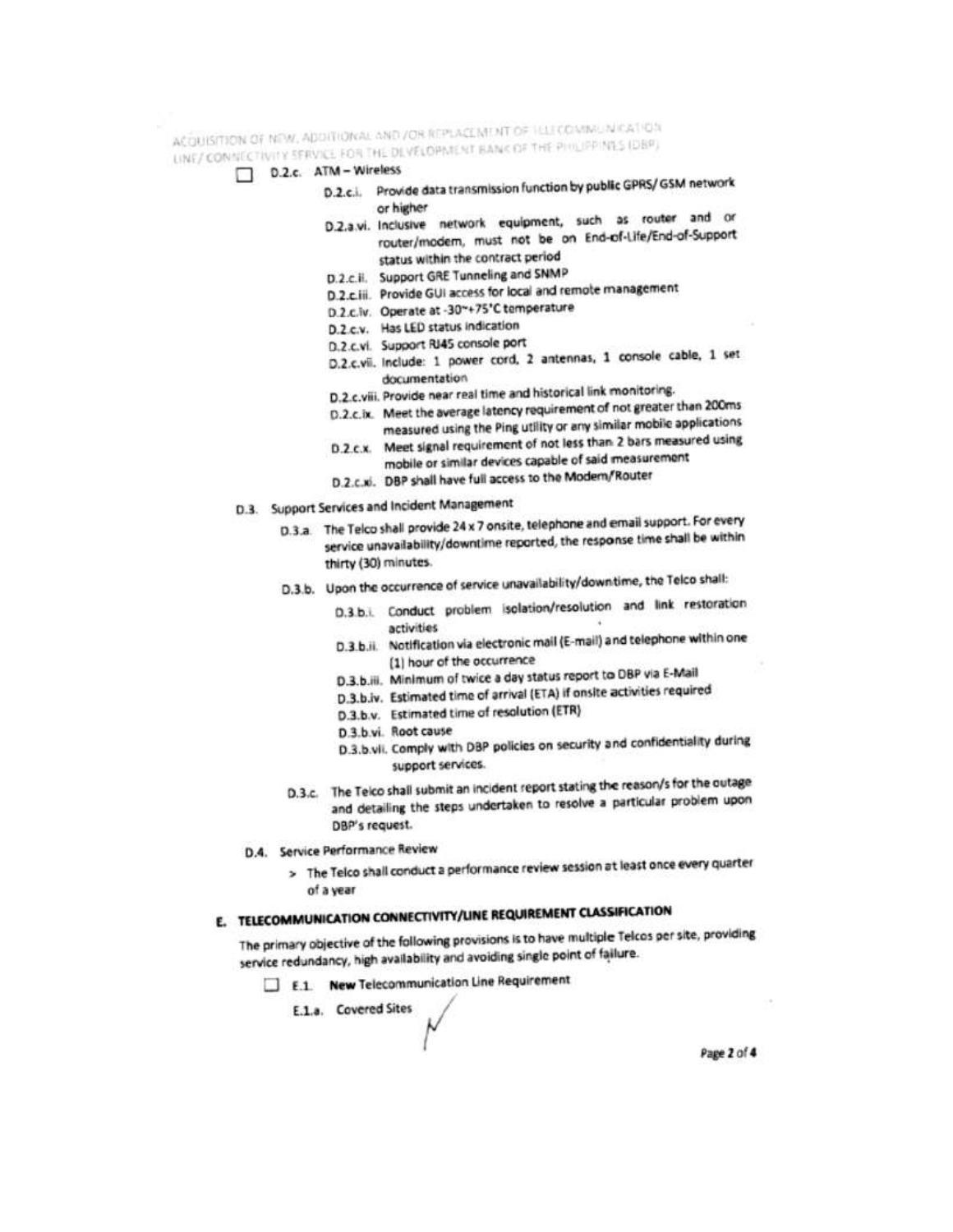ACQUISITION OF NEW, ADDITIONAL AND /OR REPLACEMENT OF HELECOMMUNICATION LINE/ CONNECTIVITY SERVICE FOR THE DEVELOPMENT BANK OF THE PHILIPPINES (DBP)

- D.2.c. ATM Wireless
	- D.2.c.i. Provide data transmission function by public GPRS/ GSM network or higher
		- D.2.a.vi. Inclusive network equipment, such as router and or router/modern, must not be on End-of-Life/End-of-Support status within the contract period
		- D.2.c.ii. Support GRE Tunneling and SNMP
		- D.2.c.iii. Provide GUI access for local and remote management
		- D.2.c.iv. Operate at -30~+75'C temperature
		- D.2.c.v. Has LED status indication
		- D.2.c.vi. Support RJ45 console port
		- D.2.c.vii. Include: 1 power cord, 2 antennas, 1 console cable, 1 set documentation
		- D.2.c.viii. Provide near real time and historical link monitoring.
		- D.2.c.ix. Meet the average latency requirement of not greater than 200ms measured using the Ping utility or any similar mobile applications
		- D.2.c.x. Meet signal requirement of not less than 2 bars measured using mobile or similar devices capable of said measurement
		- D.2.c.xi. DBP shall have full access to the Modem/Router
- D.3. Support Services and Incident Management
	- D.3.a. The Telco shall provide 24 x 7 onsite, telephone and email support. For every service unavailability/downtime reported, the response time shall be within thirty (30) minutes.
	- D.3.b. Upon the occurrence of service unavailability/downtime, the Telco shall:
		- D.3.b.i. Conduct problem isolation/resolution and link restoration activities
		- D.3.b.ii. Notification via electronic mail (E-mail) and telephone within one [1] hour of the occurrence
		- D.3.b.iii. Minimum of twice a day status report to DBP via E-Mail
		- D.3.b.iv. Estimated time of arrival (ETA) if onsite activities required
		- D.3.b.v. Estimated time of resolution (ETR)
		- D<sub>3</sub>, b.vi. Root cause
		- D.3.b.vii. Comply with DBP policies on security and confidentiality during support services.
	- D.3.c. The Telco shall submit an incident report stating the reason/s for the outage and detailing the steps undertaken to resolve a particular problem upon DBP's request.
- D.4. Service Performance Review
	- > The Telco shall conduct a performance review session at least once every quarter of a year

# E. TELECOMMUNICATION CONNECTIVITY/LINE REQUIREMENT CLASSIFICATION

The primary objective of the following provisions is to have multiple Telcos per site, providing service redundancy, high availability and avoiding single point of failure.

E.1. New Telecommunication Line Requirement

E.1.a. Covered Sites

Page 2 of 4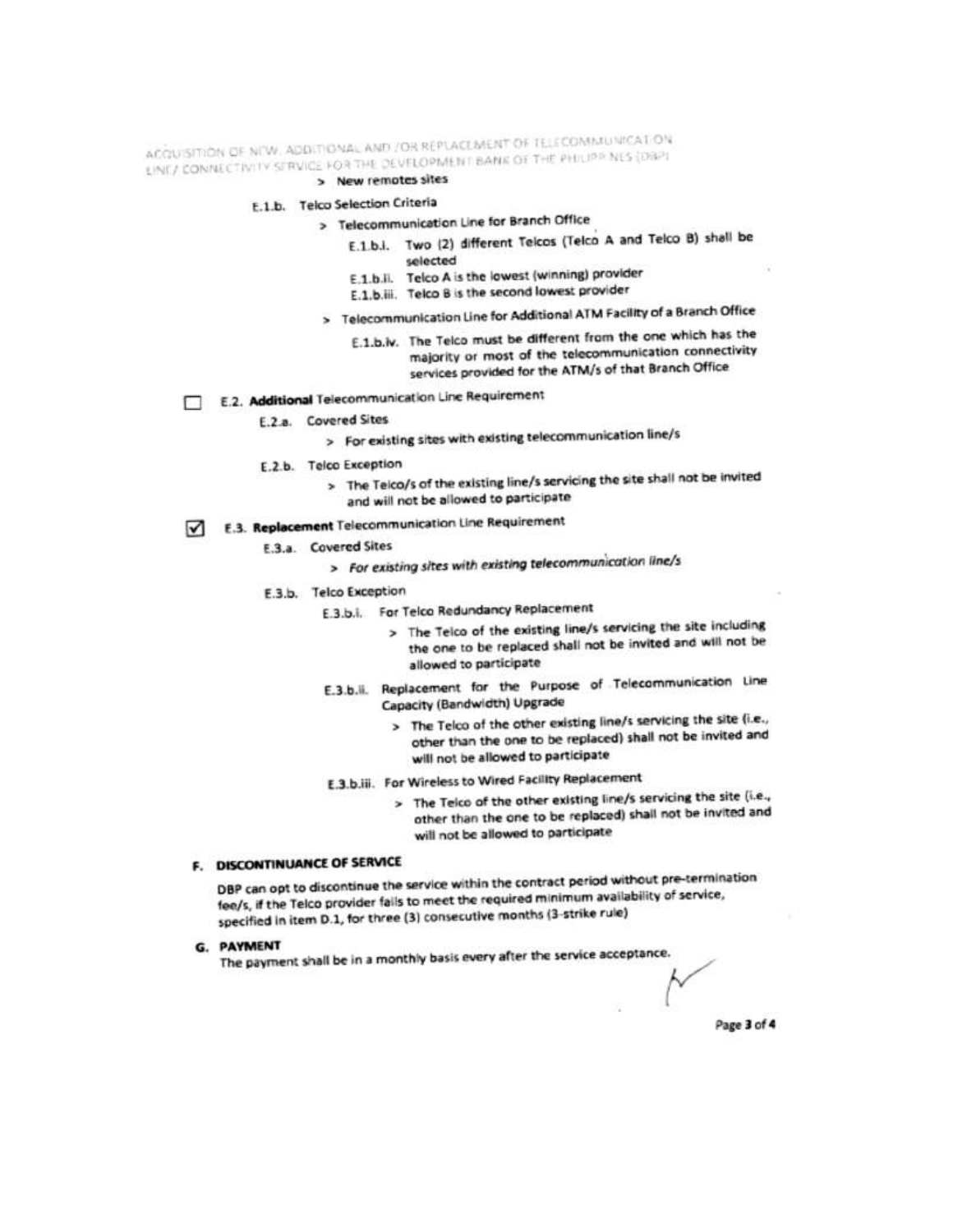ACQUISITION OF NEW, ADDITIONAL AND /OR REPLACEMENT OF TELECOMMUNICATION LINE/ CONNECTIVITY SERVICE FOR THE DEVELOPMENT BANK OF THE PHILIPP NES (DBP)

## > New remotes sites

## E.1.b. Telco Selection Criteria

# > Telecommunication Line for Branch Office

- E.1.b.i. Two (2) different Telcos (Telco A and Telco B) shall be selected
- E.1.b.ii. Telco A is the lowest (winning) provider
- E.1.b.iii. Telco B is the second lowest provider
- > Telecommunication Line for Additional ATM Facility of a Branch Office
	- E.1.b.iv. The Telco must be different from the one which has the majority or most of the telecommunication connectivity services provided for the ATM/s of that Branch Office
- E.2. Additional Telecommunication Line Requirement
	- E.2.a. Covered Sites
		- > For existing sites with existing telecommunication line/s
	- E.2.b. Telco Exception
		- > The Telco/s of the existing line/s servicing the site shall not be invited and will not be allowed to participate
- E.3. Replacement Telecommunication Line Requirement
	- E.3.a. Covered Sites
		- > For existing sites with existing telecommunication line/s
	- E.3.b. Telco Exception
		- E.3.b.i. For Telco Redundancy Replacement
			- > The Teico of the existing line/s servicing the site including the one to be replaced shall not be invited and will not be allowed to participate
			- E.3.b.ii. Replacement for the Purpose of Telecommunication Line Capacity (Bandwidth) Upgrade
				- > The Telco of the other existing line/s servicing the site (i.e., other than the one to be replaced) shall not be invited and will not be allowed to participate
			- E.3.b.iii. For Wireless to Wired Facility Replacement
				- > The Teico of the other existing line/s servicing the site (i.e., other than the one to be replaced) shall not be invited and will not be allowed to participate

## F. DISCONTINUANCE OF SERVICE

DBP can opt to discontinue the service within the contract period without pre-termination fee/s, if the Telco provider falls to meet the required minimum availability of service, specified in item D.1, for three (3) consecutive months (3-strike rule)

#### G. PAYMENT

The payment shall be in a monthly basis every after the service acceptance.

Page 3 of 4